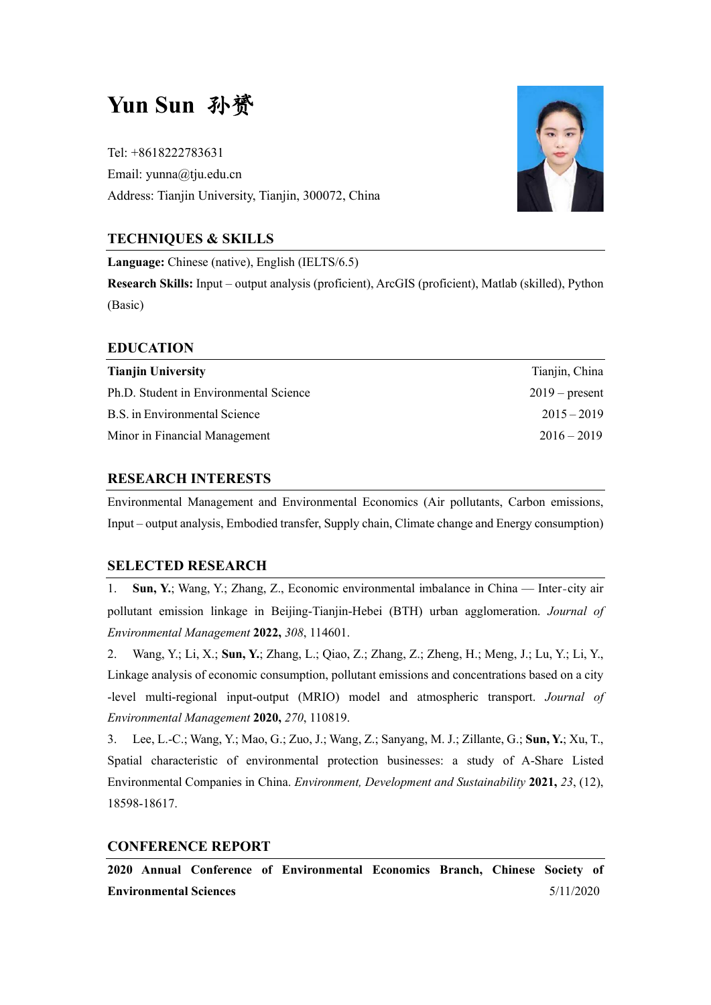# **Yun Sun** 孙赟

Tel: +8618222783631 Email: yunna@tju.edu.cn Address: Tianjin University, Tianjin, 300072, China

## **TECHNIQUES & SKILLS**

**Language:** Chinese (native), English (IELTS/6.5) **Research Skills:** Input – output analysis (proficient), ArcGIS (proficient), Matlab (skilled), Python (Basic)

## **EDUCATION**

| <b>Tianjin University</b>              | Tianjin, China   |
|----------------------------------------|------------------|
| Ph.D. Student in Environmental Science | $2019$ – present |
| B.S. in Environmental Science          | $2015 - 2019$    |
| Minor in Financial Management          | $2016 - 2019$    |

#### **RESEARCH INTERESTS**

Environmental Management and Environmental Economics (Air pollutants, Carbon emissions, Input – output analysis, Embodied transfer, Supply chain, Climate change and Energy consumption)

#### **SELECTED RESEARCH**

1. **Sun, Y.**; Wang, Y.; Zhang, Z., Economic environmental imbalance in China — Inter-city air pollutant emission linkage in Beijing-Tianjin-Hebei (BTH) urban agglomeration. *Journal of Environmental Management* **2022,** *308*, 114601.

2. Wang, Y.; Li, X.; **Sun, Y.**; Zhang, L.; Qiao, Z.; Zhang, Z.; Zheng, H.; Meng, J.; Lu, Y.; Li, Y., Linkage analysis of economic consumption, pollutant emissions and concentrations based on a city -level multi-regional input-output (MRIO) model and atmospheric transport. *Journal of Environmental Management* **2020,** *270*, 110819.

3. Lee, L.-C.; Wang, Y.; Mao, G.; Zuo, J.; Wang, Z.; Sanyang, M. J.; Zillante, G.; **Sun, Y.**; Xu, T., Spatial characteristic of environmental protection businesses: a study of A-Share Listed Environmental Companies in China. *Environment, Development and Sustainability* **2021,** *23*, (12), 18598-18617.

#### **CONFERENCE REPORT**

**2020 Annual Conference of Environmental Economics Branch, Chinese Society of Environmental Sciences** 5/11/2020